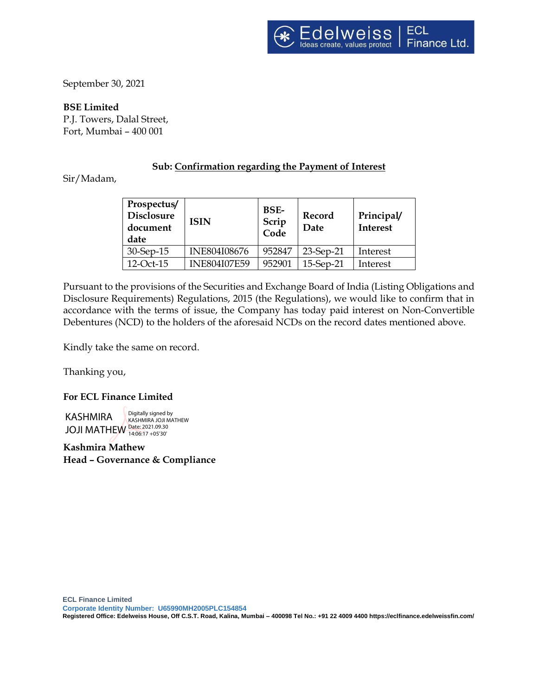September 30, 2021

**BSE Limited** P.J. Towers, Dalal Street, Fort, Mumbai – 400 001

# **Sub: Confirmation regarding the Payment of Interest**

Sir/Madam,

| Prospectus/<br><b>Disclosure</b><br>document<br>date | <b>ISIN</b>         | <b>BSE-</b><br>Scrip<br>Code | Record<br>Date | Principal/<br><b>Interest</b> |
|------------------------------------------------------|---------------------|------------------------------|----------------|-------------------------------|
| 30-Sep-15                                            | <b>INE804I08676</b> | 952847                       | 23-Sep-21      | Interest                      |
| 12-Oct-15                                            | <b>INE804I07E59</b> | 952901                       | 15-Sep-21      | Interest                      |

Pursuant to the provisions of the Securities and Exchange Board of India (Listing Obligations and Disclosure Requirements) Regulations, 2015 (the Regulations), we would like to confirm that in accordance with the terms of issue, the Company has today paid interest on Non-Convertible Debentures (NCD) to the holders of the aforesaid NCDs on the record dates mentioned above.

Kindly take the same on record.

Thanking you,

## **For ECL Finance Limited**

KASHMIRA JOJI MATHEW Date: 2021.09.30 14:06:17 +05'30'Digitally signed by KASHMIRA JOJI MATHEW

**Kashmira Mathew Head – Governance & Compliance**